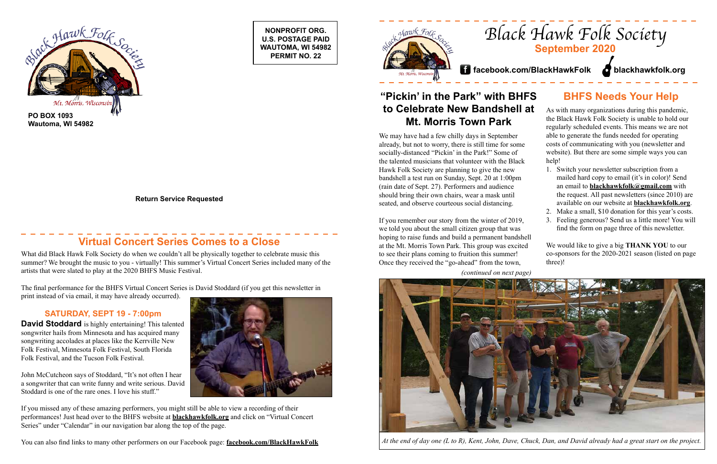**NONPROFIT ORG. U.S. POSTAGE PAID WAUTOMA, WI 54982 PERMIT NO. 22**



**Return Service Requested**

# *Black Hawk Folk Society* **September 2020**

As with many organizations during this pandemic, the Black Hawk Folk Society is unable to hold our regularly scheduled events. This means we are not able to generate the funds needed for operating costs of communicating with you (newsletter and website). But there are some simple ways you can help!

## **BHFS Needs Your Help "Pickin' in the Park" with BHFS to Celebrate New Bandshell at Mt. Morris Town Park**

- 1. Switch your newsletter subscription from a mailed hard copy to email (it's in color)! Send an email to **blackhawkfolk@gmail.com** with the request. All past newsletters (since 2010) are available on our website at **blackhawkfolk.org**.
- 2. Make a small, \$10 donation for this year's costs.
- 3. Feeling generous? Send us a little more! You will find the form on page three of this newsletter.

We would like to give a big **THANK YOU** to our co-sponsors for the 2020-2021 season (listed on page three)!

**David Stoddard** is highly entertaining! This talented songwriter hails from Minnesota and has acquired many songwriting accolades at places like the Kerrville New Folk Festival, Minnesota Folk Festival, South Florida Folk Festival, and the Tucson Folk Festival.

# **Virtual Concert Series Comes to a Close**



What did Black Hawk Folk Society do when we couldn't all be physically together to celebrate music this summer? We brought the music to you - virtually! This summer's Virtual Concert Series included many of the artists that were slated to play at the 2020 BHFS Music Festival.

The final performance for the BHFS Virtual Concert Series is David Stoddard (if you get this newsletter in print instead of via email, it may have already occurred).

## **SATURDAY, SEPT 19 - 7:00pm**

John McCutcheon says of Stoddard, "It's not often I hear a songwriter that can write funny and write serious. David Stoddard is one of the rare ones. I love his stuff."

If you missed any of these amazing performers, you might still be able to view a recording of their performances! Just head over to the BHFS website at **blackhawkfolk.org** and click on "Virtual Concert Series" under "Calendar" in our navigation bar along the top of the page.

*(continued on next page)*



You can also find links to many other performers on our Facebook page: facebook.com/BlackHawkFolk At the end of day one (L to R), Kent, John, Dave, Chuck, Dan, and David already had a great start on the project.

We may have had a few chilly days in September already, but not to worry, there is still time for some socially-distanced "Pickin' in the Park!" Some of the talented musicians that volunteer with the Black Hawk Folk Society are planning to give the new bandshell a test run on Sunday, Sept. 20 at 1:00pm (rain date of Sept. 27). Performers and audience should bring their own chairs, wear a mask until seated, and observe courteous social distancing.

If you remember our story from the winter of 2019, we told you about the small citizen group that was hoping to raise funds and build a permanent bandshell at the Mt. Morris Town Park. This group was excited to see their plans coming to fruition this summer! Once they received the "go-ahead" from the town,